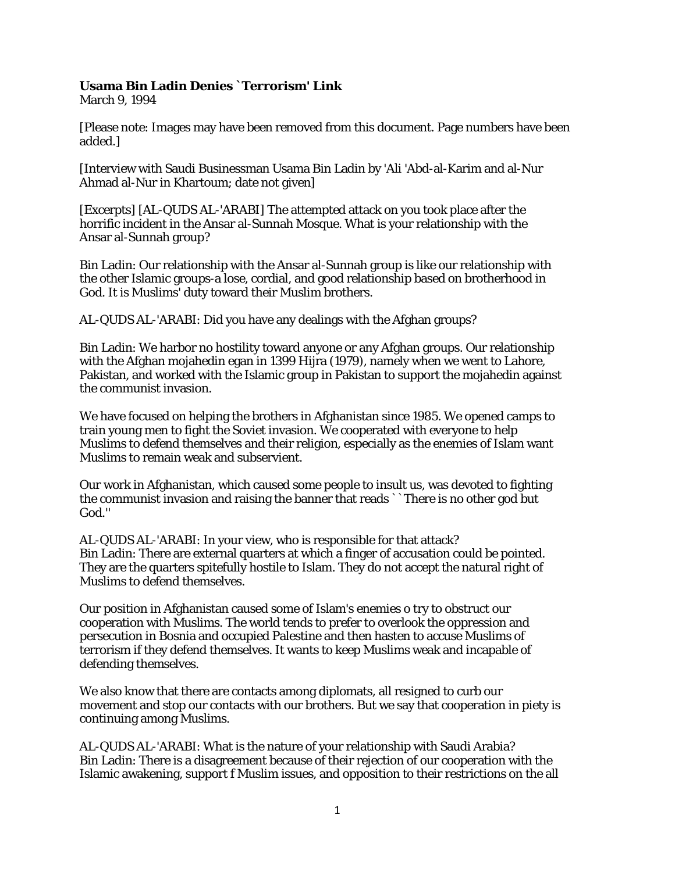## **Usama Bin Ladin Denies `Terrorism' Link**

March 9, 1994

[Please note: Images may have been removed from this document. Page numbers have been added.]

[Interview with Saudi Businessman Usama Bin Ladin by 'Ali 'Abd-al-Karim and al-Nur Ahmad al-Nur in Khartoum; date not given]

[Excerpts] [AL-QUDS AL-'ARABI] The attempted attack on you took place after the horrific incident in the Ansar al-Sunnah Mosque. What is your relationship with the Ansar al-Sunnah group?

Bin Ladin: Our relationship with the Ansar al-Sunnah group is like our relationship with the other Islamic groups-a lose, cordial, and good relationship based on brotherhood in God. It is Muslims' duty toward their Muslim brothers.

AL-QUDS AL-'ARABI: Did you have any dealings with the Afghan groups?

Bin Ladin: We harbor no hostility toward anyone or any Afghan groups. Our relationship with the Afghan mojahedin egan in 1399 Hijra (1979), namely when we went to Lahore, Pakistan, and worked with the Islamic group in Pakistan to support the mojahedin against the communist invasion.

We have focused on helping the brothers in Afghanistan since 1985. We opened camps to train young men to fight the Soviet invasion. We cooperated with everyone to help Muslims to defend themselves and their religion, especially as the enemies of Islam want Muslims to remain weak and subservient.

Our work in Afghanistan, which caused some people to insult us, was devoted to fighting the communist invasion and raising the banner that reads ``There is no other god but God.''

AL-QUDS AL-'ARABI: In your view, who is responsible for that attack? Bin Ladin: There are external quarters at which a finger of accusation could be pointed. They are the quarters spitefully hostile to Islam. They do not accept the natural right of Muslims to defend themselves.

Our position in Afghanistan caused some of Islam's enemies o try to obstruct our cooperation with Muslims. The world tends to prefer to overlook the oppression and persecution in Bosnia and occupied Palestine and then hasten to accuse Muslims of terrorism if they defend themselves. It wants to keep Muslims weak and incapable of defending themselves.

We also know that there are contacts among diplomats, all resigned to curb our movement and stop our contacts with our brothers. But we say that cooperation in piety is continuing among Muslims.

AL-QUDS AL-'ARABI: What is the nature of your relationship with Saudi Arabia? Bin Ladin: There is a disagreement because of their rejection of our cooperation with the Islamic awakening, support f Muslim issues, and opposition to their restrictions on the all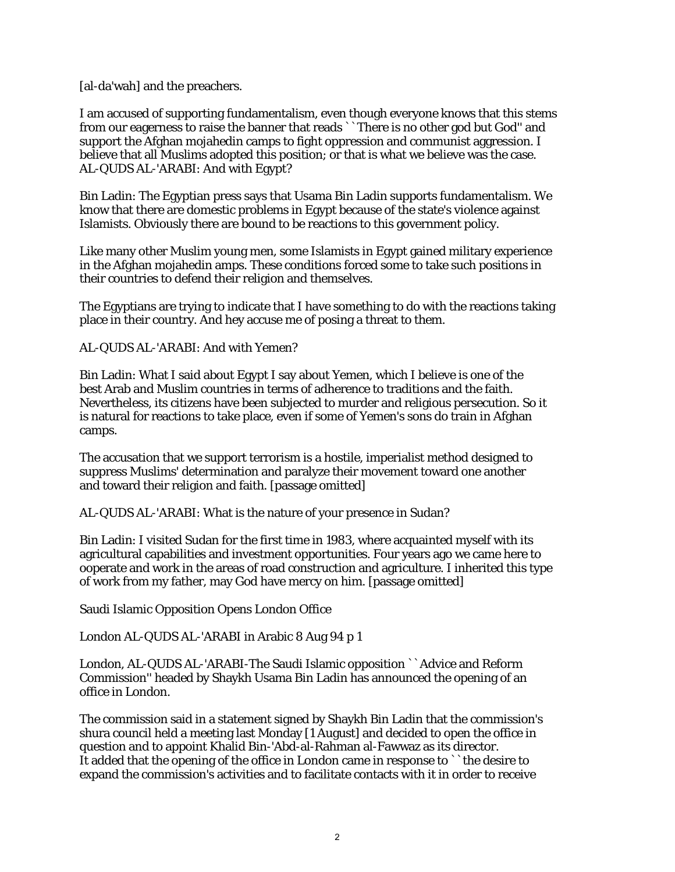[al-da'wah] and the preachers.

I am accused of supporting fundamentalism, even though everyone knows that this stems from our eagerness to raise the banner that reads ``There is no other god but God'' and support the Afghan mojahedin camps to fight oppression and communist aggression. I believe that all Muslims adopted this position; or that is what we believe was the case. AL-QUDS AL-'ARABI: And with Egypt?

Bin Ladin: The Egyptian press says that Usama Bin Ladin supports fundamentalism. We know that there are domestic problems in Egypt because of the state's violence against Islamists. Obviously there are bound to be reactions to this government policy.

Like many other Muslim young men, some Islamists in Egypt gained military experience in the Afghan mojahedin amps. These conditions forced some to take such positions in their countries to defend their religion and themselves.

The Egyptians are trying to indicate that I have something to do with the reactions taking place in their country. And hey accuse me of posing a threat to them.

AL-QUDS AL-'ARABI: And with Yemen?

Bin Ladin: What I said about Egypt I say about Yemen, which I believe is one of the best Arab and Muslim countries in terms of adherence to traditions and the faith. Nevertheless, its citizens have been subjected to murder and religious persecution. So it is natural for reactions to take place, even if some of Yemen's sons do train in Afghan camps.

The accusation that we support terrorism is a hostile, imperialist method designed to suppress Muslims' determination and paralyze their movement toward one another and toward their religion and faith. [passage omitted]

AL-QUDS AL-'ARABI: What is the nature of your presence in Sudan?

Bin Ladin: I visited Sudan for the first time in 1983, where acquainted myself with its agricultural capabilities and investment opportunities. Four years ago we came here to ooperate and work in the areas of road construction and agriculture. I inherited this type of work from my father, may God have mercy on him. [passage omitted]

Saudi Islamic Opposition Opens London Office

London AL-QUDS AL-'ARABI in Arabic 8 Aug 94 p 1

London, AL-QUDS AL-'ARABI-The Saudi Islamic opposition ``Advice and Reform Commission'' headed by Shaykh Usama Bin Ladin has announced the opening of an office in London.

The commission said in a statement signed by Shaykh Bin Ladin that the commission's shura council held a meeting last Monday [1 August] and decided to open the office in question and to appoint Khalid Bin-'Abd-al-Rahman al-Fawwaz as its director. It added that the opening of the office in London came in response to ``the desire to expand the commission's activities and to facilitate contacts with it in order to receive